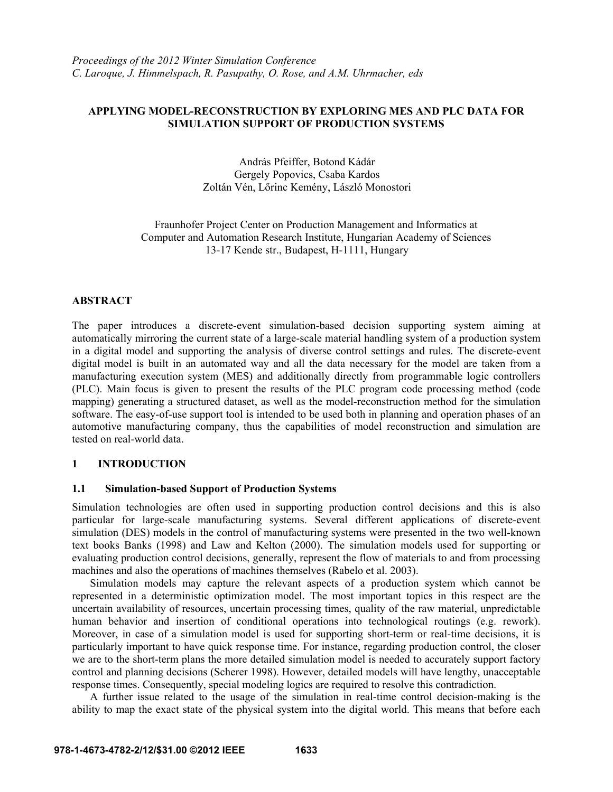## **APPLYING MODEL-RECONSTRUCTION BY EXPLORING MES AND PLC DATA FOR SIMULATION SUPPORT OF PRODUCTION SYSTEMS**

András Pfeiffer, Botond Kádár Gergely Popovics, Csaba Kardos Zoltán Vén, Lőrinc Kemény, László Monostori

Fraunhofer Project Center on Production Management and Informatics at Computer and Automation Research Institute, Hungarian Academy of Sciences 13-17 Kende str., Budapest, H-1111, Hungary

## **ABSTRACT**

The paper introduces a discrete-event simulation-based decision supporting system aiming at automatically mirroring the current state of a large-scale material handling system of a production system in a digital model and supporting the analysis of diverse control settings and rules. The discrete-event digital model is built in an automated way and all the data necessary for the model are taken from a manufacturing execution system (MES) and additionally directly from programmable logic controllers (PLC). Main focus is given to present the results of the PLC program code processing method (code mapping) generating a structured dataset, as well as the model-reconstruction method for the simulation software. The easy-of-use support tool is intended to be used both in planning and operation phases of an automotive manufacturing company, thus the capabilities of model reconstruction and simulation are tested on real-world data.

## **1 INTRODUCTION**

#### **1.1 Simulation-based Support of Production Systems**

Simulation technologies are often used in supporting production control decisions and this is also particular for large-scale manufacturing systems. Several different applications of discrete-event simulation (DES) models in the control of manufacturing systems were presented in the two well-known text books Banks (1998) and Law and Kelton (2000). The simulation models used for supporting or evaluating production control decisions, generally, represent the flow of materials to and from processing machines and also the operations of machines themselves (Rabelo et al. 2003).

Simulation models may capture the relevant aspects of a production system which cannot be represented in a deterministic optimization model. The most important topics in this respect are the uncertain availability of resources, uncertain processing times, quality of the raw material, unpredictable human behavior and insertion of conditional operations into technological routings (e.g. rework). Moreover, in case of a simulation model is used for supporting short-term or real-time decisions, it is particularly important to have quick response time. For instance, regarding production control, the closer we are to the short-term plans the more detailed simulation model is needed to accurately support factory control and planning decisions (Scherer 1998). However, detailed models will have lengthy, unacceptable response times. Consequently, special modeling logics are required to resolve this contradiction.

A further issue related to the usage of the simulation in real-time control decision-making is the ability to map the exact state of the physical system into the digital world. This means that before each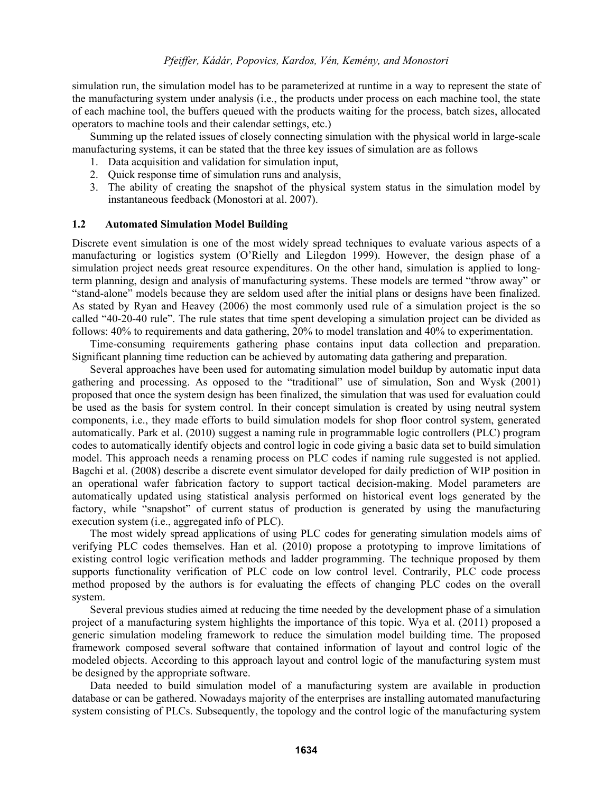simulation run, the simulation model has to be parameterized at runtime in a way to represent the state of the manufacturing system under analysis (i.e., the products under process on each machine tool, the state of each machine tool, the buffers queued with the products waiting for the process, batch sizes, allocated operators to machine tools and their calendar settings, etc.)

Summing up the related issues of closely connecting simulation with the physical world in large-scale manufacturing systems, it can be stated that the three key issues of simulation are as follows

- 1. Data acquisition and validation for simulation input,
- 2. Quick response time of simulation runs and analysis,
- 3. The ability of creating the snapshot of the physical system status in the simulation model by instantaneous feedback (Monostori at al. 2007).

#### **1.2 Automated Simulation Model Building**

Discrete event simulation is one of the most widely spread techniques to evaluate various aspects of a manufacturing or logistics system (O'Rielly and Lilegdon 1999). However, the design phase of a simulation project needs great resource expenditures. On the other hand, simulation is applied to longterm planning, design and analysis of manufacturing systems. These models are termed "throw away" or "stand-alone" models because they are seldom used after the initial plans or designs have been finalized. As stated by Ryan and Heavey (2006) the most commonly used rule of a simulation project is the so called "40-20-40 rule". The rule states that time spent developing a simulation project can be divided as follows: 40% to requirements and data gathering, 20% to model translation and 40% to experimentation.

Time-consuming requirements gathering phase contains input data collection and preparation. Significant planning time reduction can be achieved by automating data gathering and preparation.

Several approaches have been used for automating simulation model buildup by automatic input data gathering and processing. As opposed to the "traditional" use of simulation, Son and Wysk (2001) proposed that once the system design has been finalized, the simulation that was used for evaluation could be used as the basis for system control. In their concept simulation is created by using neutral system components, i.e., they made efforts to build simulation models for shop floor control system, generated automatically. Park et al. (2010) suggest a naming rule in programmable logic controllers (PLC) program codes to automatically identify objects and control logic in code giving a basic data set to build simulation model. This approach needs a renaming process on PLC codes if naming rule suggested is not applied. Bagchi et al. (2008) describe a discrete event simulator developed for daily prediction of WIP position in an operational wafer fabrication factory to support tactical decision-making. Model parameters are automatically updated using statistical analysis performed on historical event logs generated by the factory, while "snapshot" of current status of production is generated by using the manufacturing execution system (i.e., aggregated info of PLC).

The most widely spread applications of using PLC codes for generating simulation models aims of verifying PLC codes themselves. Han et al. (2010) propose a prototyping to improve limitations of existing control logic verification methods and ladder programming. The technique proposed by them supports functionality verification of PLC code on low control level. Contrarily, PLC code process method proposed by the authors is for evaluating the effects of changing PLC codes on the overall system.

Several previous studies aimed at reducing the time needed by the development phase of a simulation project of a manufacturing system highlights the importance of this topic. Wya et al. (2011) proposed a generic simulation modeling framework to reduce the simulation model building time. The proposed framework composed several software that contained information of layout and control logic of the modeled objects. According to this approach layout and control logic of the manufacturing system must be designed by the appropriate software.

Data needed to build simulation model of a manufacturing system are available in production database or can be gathered. Nowadays majority of the enterprises are installing automated manufacturing system consisting of PLCs. Subsequently, the topology and the control logic of the manufacturing system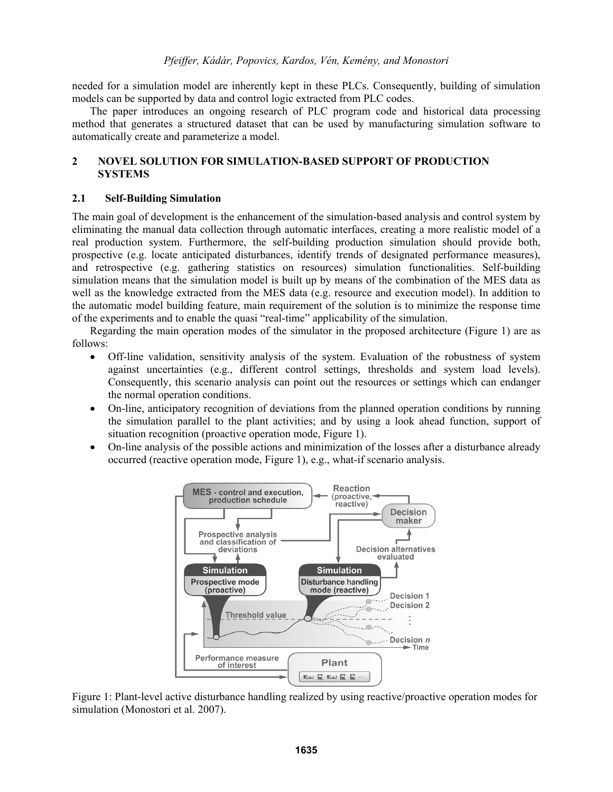## *Pfeiffer, Kádár, Popovics, Kardos, Vén, Kemény, and Monostori*

needed for a simulation model are inherently kept in these PLCs. Consequently, building of simulation models can be supported by data and control logic extracted from PLC codes.

The paper introduces an ongoing research of PLC program code and historical data processing method that generates a structured dataset that can be used by manufacturing simulation software to automatically create and parameterize a model.

# **2 NOVEL SOLUTION FOR SIMULATION-BASED SUPPORT OF PRODUCTION SYSTEMS**

## **2.1 Self-Building Simulation**

The main goal of development is the enhancement of the simulation-based analysis and control system by eliminating the manual data collection through automatic interfaces, creating a more realistic model of a real production system. Furthermore, the self-building production simulation should provide both, prospective (e.g. locate anticipated disturbances, identify trends of designated performance measures), and retrospective (e.g. gathering statistics on resources) simulation functionalities. Self-building simulation means that the simulation model is built up by means of the combination of the MES data as well as the knowledge extracted from the MES data (e.g. resource and execution model). In addition to the automatic model building feature, main requirement of the solution is to minimize the response time of the experiments and to enable the quasi "real-time" applicability of the simulation.

Regarding the main operation modes of the simulator in the proposed architecture (Figure 1) are as follows:

- Off-line validation, sensitivity analysis of the system. Evaluation of the robustness of system against uncertainties (e.g., different control settings, thresholds and system load levels). Consequently, this scenario analysis can point out the resources or settings which can endanger the normal operation conditions.
- On-line, anticipatory recognition of deviations from the planned operation conditions by running the simulation parallel to the plant activities; and by using a look ahead function, support of situation recognition (proactive operation mode, Figure 1).
- On-line analysis of the possible actions and minimization of the losses after a disturbance already occurred (reactive operation mode, Figure 1), e.g., what-if scenario analysis.



Figure 1: Plant-level active disturbance handling realized by using reactive/proactive operation modes for simulation (Monostori et al. 2007).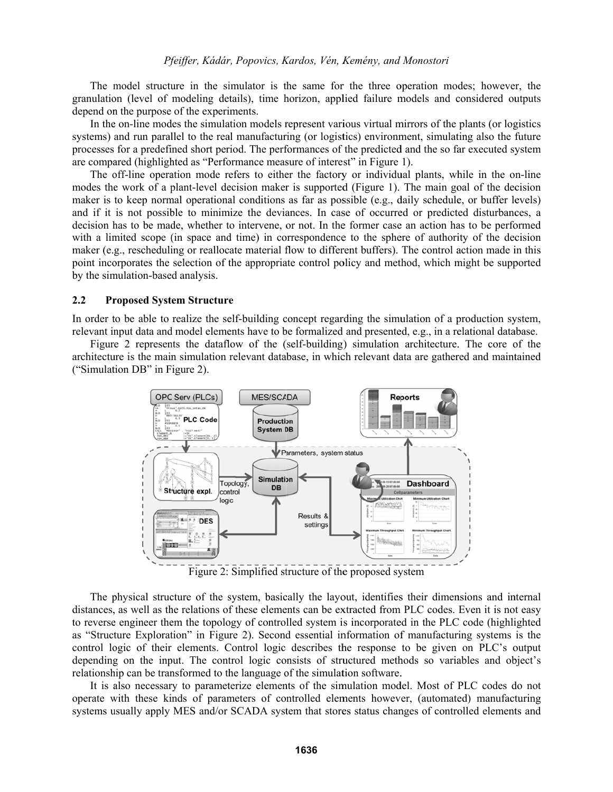The model structure in the simulator is the same for the three operation modes; however, the granulation (level of modeling details), time horizon, applied failure models and considered outputs depend on the purpose of the experiments.

In the on-line modes the simulation models represent various virtual mirrors of the plants (or logistics systems) and run parallel to the real manufacturing (or logistics) environment, simulating also the future processes for a predefined short period. The performances of the predicted and the so far executed system are compared (highlighted as "Performance measure of interest" in Figure 1).

The off-line operation mode refers to either the factory or individual plants, while in the on-line modes the work of a plant-level decision maker is supported (Figure 1). The main goal of the decision maker is to keep normal operational conditions as far as possible (e.g., daily schedule, or buffer levels) and if it is not possible to minimize the deviances. In case of occurred or predicted disturbances, a decision has to be made, whether to intervene, or not. In the former case an action has to be performed with a limited scope (in space and time) in correspondence to the sphere of authority of the decision maker (e.g., rescheduling or reallocate material flow to different buffers). The control action made in this point incorporates the selection of the appropriate control policy and method, which might be supported by the simulation-based analysis.

#### $2.2$ **Proposed System Structure**

In order to be able to realize the self-building concept regarding the simulation of a production system, relevant input data and model elements have to be formalized and presented, e.g., in a relational database.

Figure 2 represents the dataflow of the (self-building) simulation architecture. The core of the architecture is the main simulation relevant database, in which relevant data are gathered and maintained ("Simulation DB" in Figure 2).



The physical structure of the system, basically the layout, identifies their dimensions and internal distances, as well as the relations of these elements can be extracted from PLC codes. Even it is not easy to reverse engineer them the topology of controlled system is incorporated in the PLC code (highlighted) as "Structure Exploration" in Figure 2). Second essential information of manufacturing systems is the control logic of their elements. Control logic describes the response to be given on PLC's output depending on the input. The control logic consists of structured methods so variables and object's relationship can be transformed to the language of the simulation software.

It is also necessary to parameterize elements of the simulation model. Most of PLC codes do not operate with these kinds of parameters of controlled elements however, (automated) manufacturing systems usually apply MES and/or SCADA system that stores status changes of controlled elements and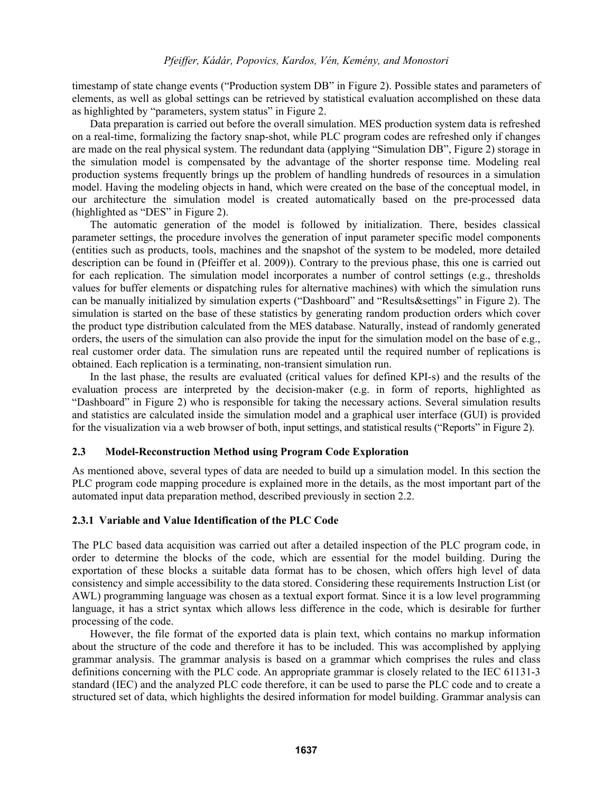timestamp of state change events ("Production system DB" in Figure 2). Possible states and parameters of elements, as well as global settings can be retrieved by statistical evaluation accomplished on these data as highlighted by "parameters, system status" in Figure 2.

Data preparation is carried out before the overall simulation. MES production system data is refreshed on a real-time, formalizing the factory snap-shot, while PLC program codes are refreshed only if changes are made on the real physical system. The redundant data (applying "Simulation DB", Figure 2) storage in the simulation model is compensated by the advantage of the shorter response time. Modeling real production systems frequently brings up the problem of handling hundreds of resources in a simulation model. Having the modeling objects in hand, which were created on the base of the conceptual model, in our architecture the simulation model is created automatically based on the pre-processed data (highlighted as "DES" in Figure 2).

The automatic generation of the model is followed by initialization. There, besides classical parameter settings, the procedure involves the generation of input parameter specific model components (entities such as products, tools, machines and the snapshot of the system to be modeled, more detailed description can be found in (Pfeiffer et al. 2009)). Contrary to the previous phase, this one is carried out for each replication. The simulation model incorporates a number of control settings (e.g., thresholds values for buffer elements or dispatching rules for alternative machines) with which the simulation runs can be manually initialized by simulation experts ("Dashboard" and "Results&settings" in Figure 2). The simulation is started on the base of these statistics by generating random production orders which cover the product type distribution calculated from the MES database. Naturally, instead of randomly generated orders, the users of the simulation can also provide the input for the simulation model on the base of e.g., real customer order data. The simulation runs are repeated until the required number of replications is obtained. Each replication is a terminating, non-transient simulation run.

In the last phase, the results are evaluated (critical values for defined KPI-s) and the results of the evaluation process are interpreted by the decision-maker (e.g. in form of reports, highlighted as "Dashboard" in Figure 2) who is responsible for taking the necessary actions. Several simulation results and statistics are calculated inside the simulation model and a graphical user interface (GUI) is provided for the visualization via a web browser of both, input settings, and statistical results ("Reports" in Figure 2).

#### **2.3 Model-Reconstruction Method using Program Code Exploration**

As mentioned above, several types of data are needed to build up a simulation model. In this section the PLC program code mapping procedure is explained more in the details, as the most important part of the automated input data preparation method, described previously in section 2.2.

## **2.3.1 Variable and Value Identification of the PLC Code**

The PLC based data acquisition was carried out after a detailed inspection of the PLC program code, in order to determine the blocks of the code, which are essential for the model building. During the exportation of these blocks a suitable data format has to be chosen, which offers high level of data consistency and simple accessibility to the data stored. Considering these requirements Instruction List (or AWL) programming language was chosen as a textual export format. Since it is a low level programming language, it has a strict syntax which allows less difference in the code, which is desirable for further processing of the code.

However, the file format of the exported data is plain text, which contains no markup information about the structure of the code and therefore it has to be included. This was accomplished by applying grammar analysis. The grammar analysis is based on a grammar which comprises the rules and class definitions concerning with the PLC code. An appropriate grammar is closely related to the IEC 61131-3 standard (IEC) and the analyzed PLC code therefore, it can be used to parse the PLC code and to create a structured set of data, which highlights the desired information for model building. Grammar analysis can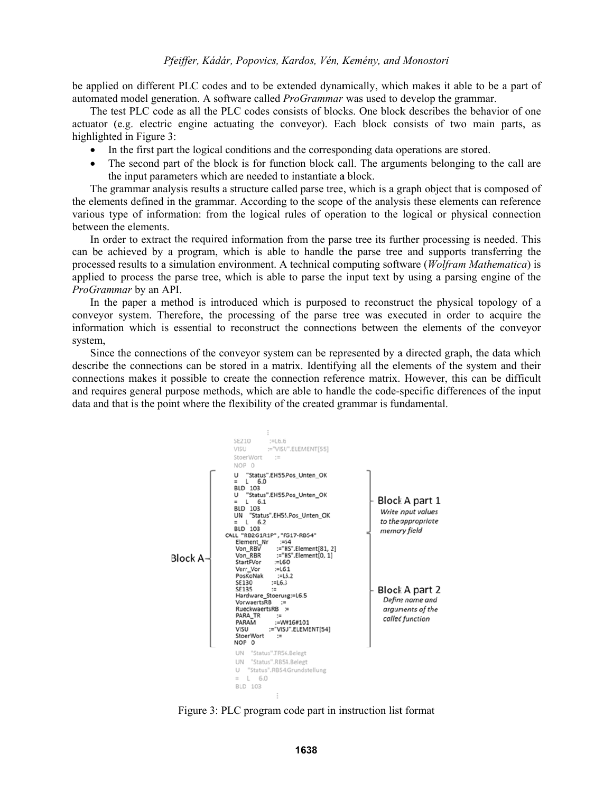be applied on different PLC codes and to be extended dynamically, which makes it able to be a part of automated model generation. A software called *ProGrammar* was used to develop the grammar.

The test PLC code as all the PLC codes consists of blocks. One block describes the behavior of one actuator (e.g. electric engine actuating the conveyor). Each block consists of two main parts, as highlighted in Figure 3:

- In the first part the logical conditions and the corresponding data operations are stored.
- $\bullet$ The second part of the block is for function block call. The arguments belonging to the call are the input parameters which are needed to instantiate a block.

The grammar analysis results a structure called parse tree, which is a graph object that is composed of the elements defined in the grammar. According to the scope of the analysis these elements can reference various type of information: from the logical rules of operation to the logical or physical connection between the elements.

In order to extract the required information from the parse tree its further processing is needed. This can be achieved by a program, which is able to handle the parse tree and supports transferring the processed results to a simulation environment. A technical computing software (Wolfram Mathematica) is applied to process the parse tree, which is able to parse the input text by using a parsing engine of the *ProGrammar* by an API.

In the paper a method is introduced which is purposed to reconstruct the physical topology of a conveyor system. Therefore, the processing of the parse tree was executed in order to acquire the information which is essential to reconstruct the connections between the elements of the convevor system,

Since the connections of the conveyor system can be represented by a directed graph, the data which describe the connections can be stored in a matrix. Identifying all the elements of the system and their connections makes it possible to create the connection reference matrix. However, this can be difficult and requires general purpose methods, which are able to handle the code-specific differences of the input data and that is the point where the flexibility of the created grammar is fundamental.



Figure 3: PLC program code part in instruction list format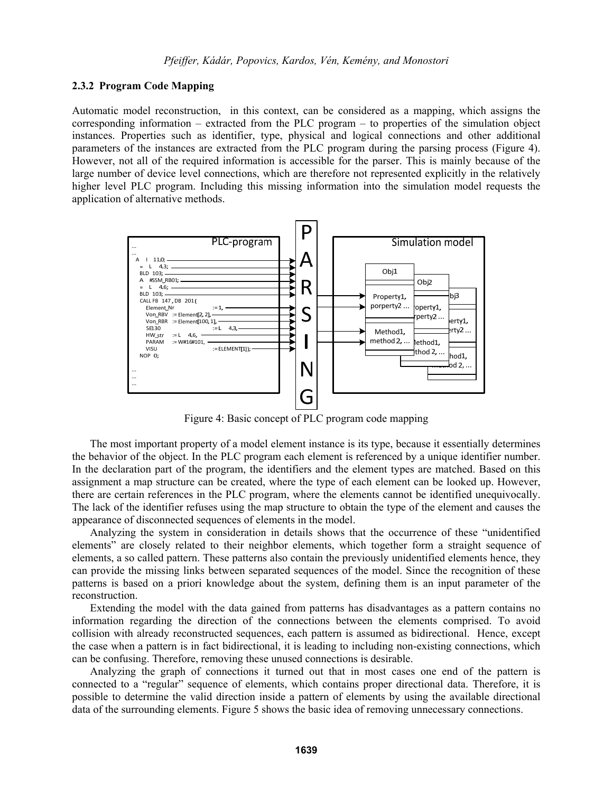#### **2.3.2 Program Code Mapping**

Automatic model reconstruction, in this context, can be considered as a mapping, which assigns the corresponding information – extracted from the PLC program – to properties of the simulation object instances. Properties such as identifier, type, physical and logical connections and other additional parameters of the instances are extracted from the PLC program during the parsing process (Figure 4). However, not all of the required information is accessible for the parser. This is mainly because of the large number of device level connections, which are therefore not represented explicitly in the relatively higher level PLC program. Including this missing information into the simulation model requests the application of alternative methods.



Figure 4: Basic concept of PLC program code mapping

The most important property of a model element instance is its type, because it essentially determines the behavior of the object. In the PLC program each element is referenced by a unique identifier number. In the declaration part of the program, the identifiers and the element types are matched. Based on this assignment a map structure can be created, where the type of each element can be looked up. However, there are certain references in the PLC program, where the elements cannot be identified unequivocally. The lack of the identifier refuses using the map structure to obtain the type of the element and causes the appearance of disconnected sequences of elements in the model.

Analyzing the system in consideration in details shows that the occurrence of these "unidentified elements" are closely related to their neighbor elements, which together form a straight sequence of elements, a so called pattern. These patterns also contain the previously unidentified elements hence, they can provide the missing links between separated sequences of the model. Since the recognition of these patterns is based on a priori knowledge about the system, defining them is an input parameter of the reconstruction.

Extending the model with the data gained from patterns has disadvantages as a pattern contains no information regarding the direction of the connections between the elements comprised. To avoid collision with already reconstructed sequences, each pattern is assumed as bidirectional. Hence, except the case when a pattern is in fact bidirectional, it is leading to including non-existing connections, which can be confusing. Therefore, removing these unused connections is desirable.

Analyzing the graph of connections it turned out that in most cases one end of the pattern is connected to a "regular" sequence of elements, which contains proper directional data. Therefore, it is possible to determine the valid direction inside a pattern of elements by using the available directional data of the surrounding elements. Figure 5 shows the basic idea of removing unnecessary connections.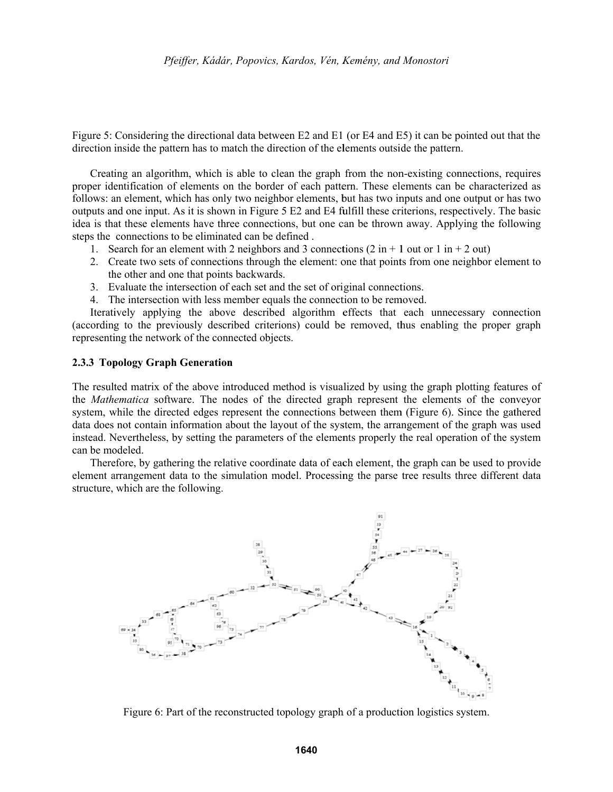Figure 5: Considering the directional data between E2 and E1 (or E4 and E5) it can be pointed out that the direction inside the pattern has to match the direction of the elements outside the pattern.

Creating an algorithm, which is able to clean the graph from the non-existing connections, requires proper identification of elements on the border of each pattern. These elements can be characterized as follows: an element, which has only two neighbor elements, but has two inputs and one output or has two outputs and one input. As it is shown in Figure 5 E2 and E4 fulfill these criterions, respectively. The basic idea is that these elements have three connections, but one can be thrown away. Applying the following steps the connections to be eliminated can be defined.

- 1. Search for an element with 2 neighbors and 3 connections  $(2 \text{ in } +1 \text{ out or } 1 \text{ in } +2 \text{ out})$
- 2. Create two sets of connections through the element: one that points from one neighbor element to the other and one that points backwards.
- 3. Evaluate the intersection of each set and the set of original connections.
- 4. The intersection with less member equals the connection to be removed.

Iteratively applying the above described algorithm effects that each unnecessary connection (according to the previously described criterions) could be removed, thus enabling the proper graph representing the network of the connected objects.

## 2.3.3 Topology Graph Generation

The resulted matrix of the above introduced method is visualized by using the graph plotting features of the *Mathematica* software. The nodes of the directed graph represent the elements of the conveyor system, while the directed edges represent the connections between them (Figure 6). Since the gathered data does not contain information about the layout of the system, the arrangement of the graph was used instead. Nevertheless, by setting the parameters of the elements properly the real operation of the system can be modeled.

Therefore, by gathering the relative coordinate data of each element, the graph can be used to provide element arrangement data to the simulation model. Processing the parse tree results three different data structure, which are the following.



Figure 6: Part of the reconstructed topology graph of a production logistics system.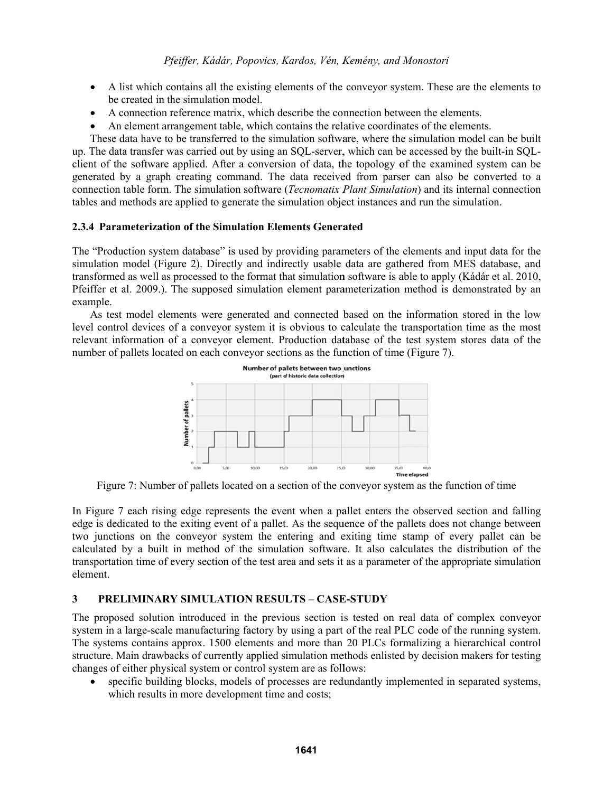- A list which contains all the existing elements of the conveyor system. These are the elements to be created in the simulation model.
- A connection reference matrix, which describe the connection between the elements.  $\bullet$
- An element arrangement table, which contains the relative coordinates of the elements.

These data have to be transferred to the simulation software, where the simulation model can be built up. The data transfer was carried out by using an SQL-server, which can be accessed by the built-in SQLclient of the software applied. After a conversion of data, the topology of the examined system can be generated by a graph creating command. The data received from parser can also be converted to a connection table form. The simulation software (*Tecnomatix Plant Simulation*) and its internal connection tables and methods are applied to generate the simulation object instances and run the simulation.

## 2.3.4 Parameterization of the Simulation Elements Generated

The "Production system database" is used by providing parameters of the elements and input data for the simulation model (Figure 2). Directly and indirectly usable data are gathered from MES database, and transformed as well as processed to the format that simulation software is able to apply (Kádár et al. 2010, Pfeiffer et al. 2009.). The supposed simulation element parameterization method is demonstrated by an example.

As test model elements were generated and connected based on the information stored in the low level control devices of a conveyor system it is obvious to calculate the transportation time as the most relevant information of a conveyor element. Production database of the test system stores data of the number of pallets located on each conveyor sections as the function of time (Figure 7).



Figure 7: Number of pallets located on a section of the conveyor system as the function of time

In Figure 7 each rising edge represents the event when a pallet enters the observed section and falling edge is dedicated to the exiting event of a pallet. As the sequence of the pallets does not change between two junctions on the conveyor system the entering and exiting time stamp of every pallet can be calculated by a built in method of the simulation software. It also calculates the distribution of the transportation time of every section of the test area and sets it as a parameter of the appropriate simulation element.

#### $\overline{\mathbf{3}}$ **PRELIMINARY SIMULATION RESULTS - CASE-STUDY**

The proposed solution introduced in the previous section is tested on real data of complex convevor system in a large-scale manufacturing factory by using a part of the real PLC code of the running system. The systems contains approx. 1500 elements and more than 20 PLCs formalizing a hierarchical control structure. Main drawbacks of currently applied simulation methods enlisted by decision makers for testing changes of either physical system or control system are as follows:

specific building blocks, models of processes are redundantly implemented in separated systems, which results in more development time and costs;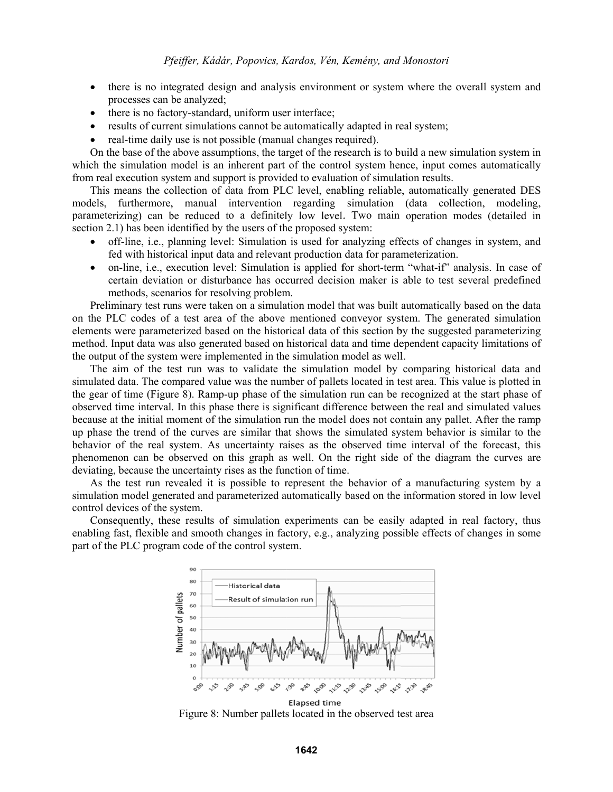- there is no integrated design and analysis environment or system where the overall system and  $\bullet$ processes can be analyzed:
- there is no factory-standard, uniform user interface;  $\bullet$
- results of current simulations cannot be automatically adapted in real system;  $\bullet$
- real-time daily use is not possible (manual changes required).  $\bullet$

On the base of the above assumptions, the target of the research is to build a new simulation system in which the simulation model is an inherent part of the control system hence, input comes automatically from real execution system and support is provided to evaluation of simulation results.

This means the collection of data from PLC level, enabling reliable, automatically generated DES models, furthermore, manual intervention regarding simulation (data collection, modeling, parameterizing) can be reduced to a definitely low level. Two main operation modes (detailed in section 2.1) has been identified by the users of the proposed system:

- off-line, i.e., planning level: Simulation is used for analyzing effects of changes in system, and fed with historical input data and relevant production data for parameterization.
- on-line, i.e., execution level: Simulation is applied for short-term "what-if" analysis. In case of certain deviation or disturbance has occurred decision maker is able to test several predefined methods, scenarios for resolving problem.

Preliminary test runs were taken on a simulation model that was built automatically based on the data on the PLC codes of a test area of the above mentioned conveyor system. The generated simulation elements were parameterized based on the historical data of this section by the suggested parameterizing method. Input data was also generated based on historical data and time dependent capacity limitations of the output of the system were implemented in the simulation model as well.

The aim of the test run was to validate the simulation model by comparing historical data and simulated data. The compared value was the number of pallets located in test area. This value is plotted in the gear of time (Figure 8). Ramp-up phase of the simulation run can be recognized at the start phase of observed time interval. In this phase there is significant difference between the real and simulated values because at the initial moment of the simulation run the model does not contain any pallet. After the ramp up phase the trend of the curves are similar that shows the simulated system behavior is similar to the behavior of the real system. As uncertainty raises as the observed time interval of the forecast, this phenomenon can be observed on this graph as well. On the right side of the diagram the curves are deviating, because the uncertainty rises as the function of time.

As the test run revealed it is possible to represent the behavior of a manufacturing system by a simulation model generated and parameterized automatically based on the information stored in low level control devices of the system.

Consequently, these results of simulation experiments can be easily adapted in real factory, thus enabling fast, flexible and smooth changes in factory, e.g., analyzing possible effects of changes in some part of the PLC program code of the control system.



Figure 8: Number pallets located in the observed test area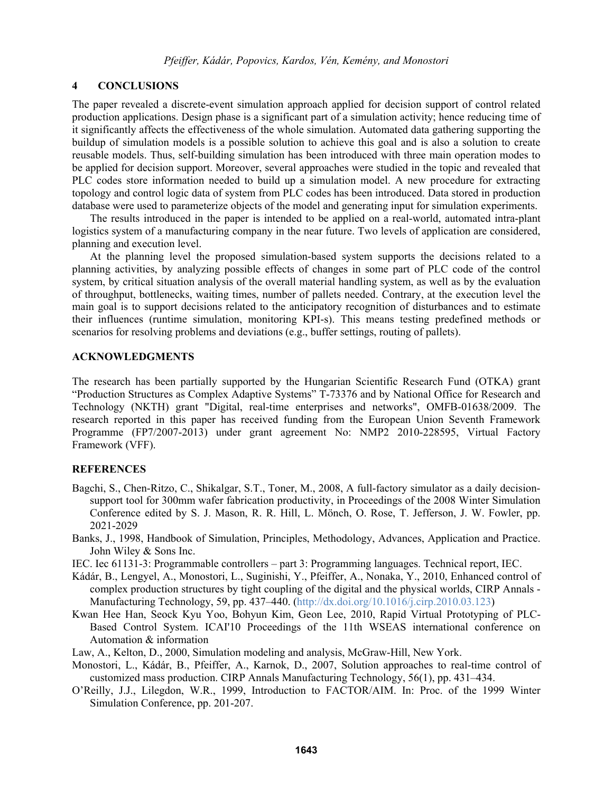## **4 CONCLUSIONS**

The paper revealed a discrete-event simulation approach applied for decision support of control related production applications. Design phase is a significant part of a simulation activity; hence reducing time of it significantly affects the effectiveness of the whole simulation. Automated data gathering supporting the buildup of simulation models is a possible solution to achieve this goal and is also a solution to create reusable models. Thus, self-building simulation has been introduced with three main operation modes to be applied for decision support. Moreover, several approaches were studied in the topic and revealed that PLC codes store information needed to build up a simulation model. A new procedure for extracting topology and control logic data of system from PLC codes has been introduced. Data stored in production database were used to parameterize objects of the model and generating input for simulation experiments.

The results introduced in the paper is intended to be applied on a real-world, automated intra-plant logistics system of a manufacturing company in the near future. Two levels of application are considered, planning and execution level.

At the planning level the proposed simulation-based system supports the decisions related to a planning activities, by analyzing possible effects of changes in some part of PLC code of the control system, by critical situation analysis of the overall material handling system, as well as by the evaluation of throughput, bottlenecks, waiting times, number of pallets needed. Contrary, at the execution level the main goal is to support decisions related to the anticipatory recognition of disturbances and to estimate their influences (runtime simulation, monitoring KPI-s). This means testing predefined methods or scenarios for resolving problems and deviations (e.g., buffer settings, routing of pallets).

### **ACKNOWLEDGMENTS**

The research has been partially supported by the Hungarian Scientific Research Fund (OTKA) grant "Production Structures as Complex Adaptive Systems" T-73376 and by National Office for Research and Technology (NKTH) grant "Digital, real-time enterprises and networks", OMFB-01638/2009. The research reported in this paper has received funding from the European Union Seventh Framework Programme (FP7/2007-2013) under grant agreement No: NMP2 2010-228595, Virtual Factory Framework (VFF).

#### **REFERENCES**

- Bagchi, S., Chen-Ritzo, C., Shikalgar, S.T., Toner, M., 2008, A full-factory simulator as a daily decisionsupport tool for 300mm wafer fabrication productivity, in Proceedings of the 2008 Winter Simulation Conference edited by S. J. Mason, R. R. Hill, L. Mönch, O. Rose, T. Jefferson, J. W. Fowler, pp. 2021-2029
- Banks, J., 1998, Handbook of Simulation, Principles, Methodology, Advances, Application and Practice. John Wiley & Sons Inc.
- IEC. Iec 61131-3: Programmable controllers part 3: Programming languages. Technical report, IEC.
- Kádár, B., Lengyel, A., Monostori, L., Suginishi, Y., Pfeiffer, A., Nonaka, Y., 2010, Enhanced control of complex production structures by tight coupling of the digital and the physical worlds, CIRP Annals - Manufacturing Technology, 59, pp. 437–440. (http://dx.doi.org/10.1016/j.cirp.2010.03.123)
- Kwan Hee Han, Seock Kyu Yoo, Bohyun Kim, Geon Lee, 2010, Rapid Virtual Prototyping of PLC-Based Control System. ICAI'10 Proceedings of the 11th WSEAS international conference on Automation & information
- Law, A., Kelton, D., 2000, Simulation modeling and analysis, McGraw-Hill, New York.
- Monostori, L., Kádár, B., Pfeiffer, A., Karnok, D., 2007, Solution approaches to real-time control of customized mass production. CIRP Annals Manufacturing Technology, 56(1), pp. 431–434.
- O'Reilly, J.J., Lilegdon, W.R., 1999, Introduction to FACTOR/AIM. In: Proc. of the 1999 Winter Simulation Conference, pp. 201-207.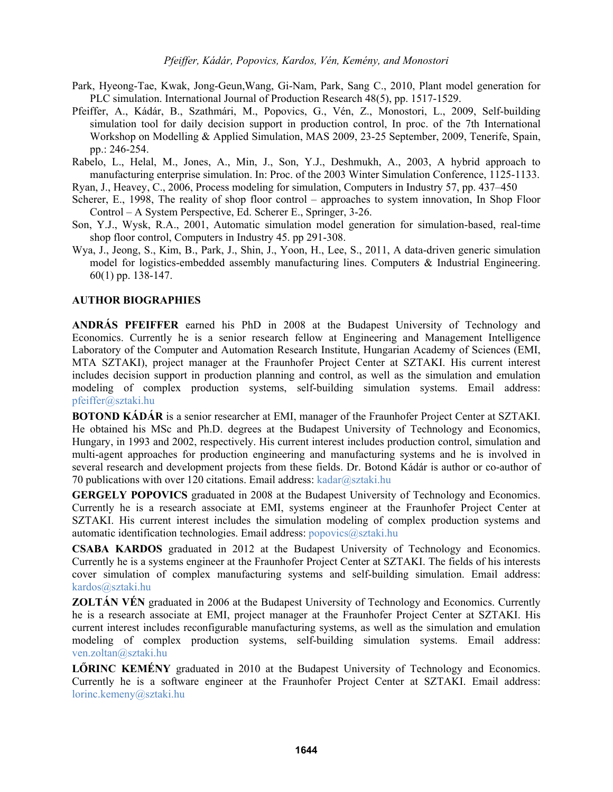- Park, Hyeong-Tae, Kwak, Jong-Geun,Wang, Gi-Nam, Park, Sang C., 2010, Plant model generation for PLC simulation. International Journal of Production Research 48(5), pp. 1517-1529.
- Pfeiffer, A., Kádár, B., Szathmári, M., Popovics, G., Vén, Z., Monostori, L., 2009, Self-building simulation tool for daily decision support in production control, In proc. of the 7th International Workshop on Modelling & Applied Simulation, MAS 2009, 23-25 September, 2009, Tenerife, Spain, pp.: 246-254.
- Rabelo, L., Helal, M., Jones, A., Min, J., Son, Y.J., Deshmukh, A., 2003, A hybrid approach to manufacturing enterprise simulation. In: Proc. of the 2003 Winter Simulation Conference, 1125-1133.
- Ryan, J., Heavey, C., 2006, Process modeling for simulation, Computers in Industry 57, pp. 437–450
- Scherer, E., 1998, The reality of shop floor control approaches to system innovation, In Shop Floor Control – A System Perspective, Ed. Scherer E., Springer, 3-26.
- Son, Y.J., Wysk, R.A., 2001, Automatic simulation model generation for simulation-based, real-time shop floor control, Computers in Industry 45. pp 291-308.
- Wya, J., Jeong, S., Kim, B., Park, J., Shin, J., Yoon, H., Lee, S., 2011, A data-driven generic simulation model for logistics-embedded assembly manufacturing lines. Computers & Industrial Engineering. 60(1) pp. 138-147.

## **AUTHOR BIOGRAPHIES**

**ANDRÁS PFEIFFER** earned his PhD in 2008 at the Budapest University of Technology and Economics. Currently he is a senior research fellow at Engineering and Management Intelligence Laboratory of the Computer and Automation Research Institute, Hungarian Academy of Sciences (EMI, MTA SZTAKI), project manager at the Fraunhofer Project Center at SZTAKI. His current interest includes decision support in production planning and control, as well as the simulation and emulation modeling of complex production systems, self-building simulation systems. Email address: pfeiffer@sztaki.hu

**BOTOND KÁDÁR** is a senior researcher at EMI, manager of the Fraunhofer Project Center at SZTAKI. He obtained his MSc and Ph.D. degrees at the Budapest University of Technology and Economics, Hungary, in 1993 and 2002, respectively. His current interest includes production control, simulation and multi-agent approaches for production engineering and manufacturing systems and he is involved in several research and development projects from these fields. Dr. Botond Kádár is author or co-author of 70 publications with over 120 citations. Email address: kadar@sztaki.hu

**GERGELY POPOVICS** graduated in 2008 at the Budapest University of Technology and Economics. Currently he is a research associate at EMI, systems engineer at the Fraunhofer Project Center at SZTAKI. His current interest includes the simulation modeling of complex production systems and automatic identification technologies. Email address: popovics@sztaki.hu

**CSABA KARDOS** graduated in 2012 at the Budapest University of Technology and Economics. Currently he is a systems engineer at the Fraunhofer Project Center at SZTAKI. The fields of his interests cover simulation of complex manufacturing systems and self-building simulation. Email address: kardos@sztaki.hu

**ZOLTÁN VÉN** graduated in 2006 at the Budapest University of Technology and Economics. Currently he is a research associate at EMI, project manager at the Fraunhofer Project Center at SZTAKI. His current interest includes reconfigurable manufacturing systems, as well as the simulation and emulation modeling of complex production systems, self-building simulation systems. Email address: ven.zoltan@sztaki.hu

**LŐRINC KEMÉNY** graduated in 2010 at the Budapest University of Technology and Economics. Currently he is a software engineer at the Fraunhofer Project Center at SZTAKI. Email address: lorinc.kemeny@sztaki.hu